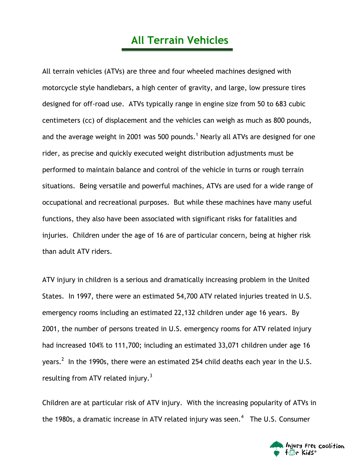## **All Terrain Vehicles**

All terrain vehicles (ATVs) are three and four wheeled machines designed with motorcycle style handlebars, a high center of gravity, and large, low pressure tires designed for off-road use. ATVs typically range in engine size from 50 to 683 cubic centimeters (cc) of displacement and the vehicles can weigh as much as 800 pounds, and the average weight in 2001 was 500 pounds.<sup>1</sup> Nearly all ATVs are designed for one rider, as precise and quickly executed weight distribution adjustments must be performed to maintain balance and control of the vehicle in turns or rough terrain situations. Being versatile and powerful machines, ATVs are used for a wide range of occupational and recreational purposes. But while these machines have many useful functions, they also have been associated with significant risks for fatalities and injuries. Children under the age of 16 are of particular concern, being at higher risk than adult ATV riders.

ATV injury in children is a serious and dramatically increasing problem in the United States. In 1997, there were an estimated 54,700 ATV related injuries treated in U.S. emergency rooms including an estimated 22,132 children under age 16 years. By 2001, the number of persons treated in U.S. emergency rooms for ATV related injury had increased 104% to 111,700; including an estimated 33,071 children under age 16 years. $^2$  In the 1990s, there were an estimated 254 child deaths each year in the U.S. resulting from ATV related injury. $3$ 

Children are at particular risk of ATV injury. With the increasing popularity of ATVs in the 1980s, a dramatic increase in ATV related injury was seen.<sup>4</sup> The U.S. Consumer

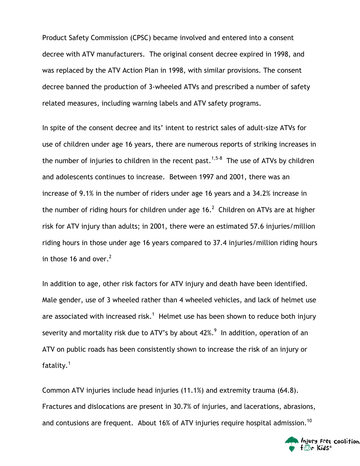Product Safety Commission (CPSC) became involved and entered into a consent decree with ATV manufacturers. The original consent decree expired in 1998, and was replaced by the ATV Action Plan in 1998, with similar provisions. The consent decree banned the production of 3-wheeled ATVs and prescribed a number of safety related measures, including warning labels and ATV safety programs.

In spite of the consent decree and its' intent to restrict sales of adult-size ATVs for use of children under age 16 years, there are numerous reports of striking increases in the number of injuries to children in the recent past.<sup>1,5-8</sup> The use of ATVs by children and adolescents continues to increase. Between 1997 and 2001, there was an increase of 9.1% in the number of riders under age 16 years and a 34.2% increase in the number of riding hours for children under age  $16.<sup>2</sup>$  Children on ATVs are at higher risk for ATV injury than adults; in 2001, there were an estimated 57.6 injuries/million riding hours in those under age 16 years compared to 37.4 injuries/million riding hours in those 16 and over.<sup>2</sup>

In addition to age, other risk factors for ATV injury and death have been identified. Male gender, use of 3 wheeled rather than 4 wheeled vehicles, and lack of helmet use are associated with increased risk.<sup>1</sup> Helmet use has been shown to reduce both injury severity and mortality risk due to ATV's by about 42%. $^9\,$  In addition, operation of an ATV on public roads has been consistently shown to increase the risk of an injury or fatality. $^1$ 

Common ATV injuries include head injuries (11.1%) and extremity trauma (64.8). Fractures and dislocations are present in 30.7% of injuries, and lacerations, abrasions, and contusions are frequent. About 16% of ATV injuries require hospital admission.<sup>10</sup>

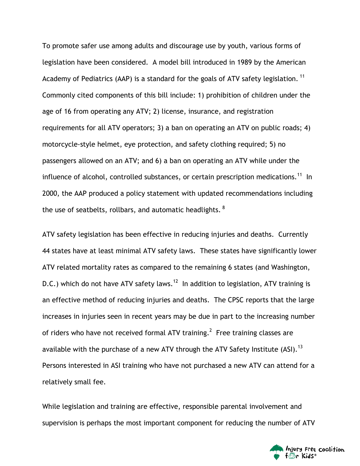To promote safer use among adults and discourage use by youth, various forms of legislation have been considered. A model bill introduced in 1989 by the American Academy of Pediatrics (AAP) is a standard for the goals of ATV safety legislation.  $11$ Commonly cited components of this bill include: 1) prohibition of children under the age of 16 from operating any ATV; 2) license, insurance, and registration requirements for all ATV operators; 3) a ban on operating an ATV on public roads; 4) motorcycle-style helmet, eye protection, and safety clothing required; 5) no passengers allowed on an ATV; and 6) a ban on operating an ATV while under the influence of alcohol, controlled substances, or certain prescription medications.<sup>11</sup> In 2000, the AAP produced a policy statement with updated recommendations including the use of seatbelts, rollbars, and automatic headlights.  $8$ 

ATV safety legislation has been effective in reducing injuries and deaths. Currently 44 states have at least minimal ATV safety laws. These states have significantly lower ATV related mortality rates as compared to the remaining 6 states (and Washington, D.C.) which do not have ATV safety laws.<sup>12</sup> In addition to legislation, ATV training is an effective method of reducing injuries and deaths. The CPSC reports that the large increases in injuries seen in recent years may be due in part to the increasing number of riders who have not received formal ATV training.<sup>2</sup> Free training classes are available with the purchase of a new ATV through the ATV Safety Institute (ASI).<sup>13</sup> Persons interested in ASI training who have not purchased a new ATV can attend for a relatively small fee.

While legislation and training are effective, responsible parental involvement and supervision is perhaps the most important component for reducing the number of ATV

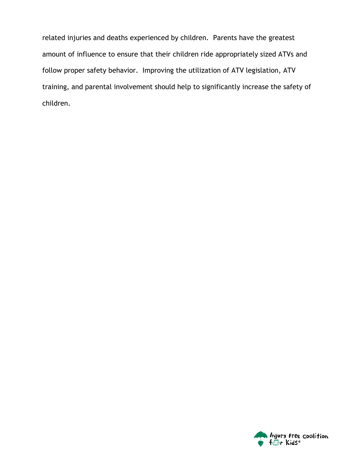related injuries and deaths experienced by children. Parents have the greatest amount of influence to ensure that their children ride appropriately sized ATVs and follow proper safety behavior. Improving the utilization of ATV legislation, ATV training, and parental involvement should help to significantly increase the safety of children.

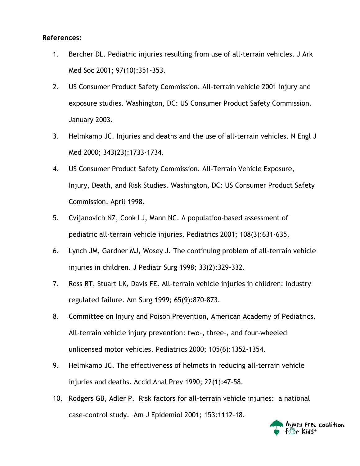## **References:**

- 1. Bercher DL. Pediatric injuries resulting from use of all-terrain vehicles. J Ark Med Soc 2001; 97(10):351-353.
- 2. US Consumer Product Safety Commission. All-terrain vehicle 2001 injury and exposure studies. Washington, DC: US Consumer Product Safety Commission. January 2003.
- 3. Helmkamp JC. Injuries and deaths and the use of all-terrain vehicles. N Engl J Med 2000; 343(23):1733-1734.
- 4. US Consumer Product Safety Commission. All-Terrain Vehicle Exposure, Injury, Death, and Risk Studies. Washington, DC: US Consumer Product Safety Commission. April 1998.
- 5. Cvijanovich NZ, Cook LJ, Mann NC. A population-based assessment of pediatric all-terrain vehicle injuries. Pediatrics 2001; 108(3):631-635.
- 6. Lynch JM, Gardner MJ, Wosey J. The continuing problem of all-terrain vehicle injuries in children. J Pediatr Surg 1998; 33(2):329-332.
- 7. Ross RT, Stuart LK, Davis FE. All-terrain vehicle injuries in children: industry regulated failure. Am Surg 1999; 65(9):870-873.
- 8. Committee on Injury and Poison Prevention, American Academy of Pediatrics. All-terrain vehicle injury prevention: two-, three-, and four-wheeled unlicensed motor vehicles. Pediatrics 2000; 105(6):1352-1354.
- 9. Helmkamp JC. The effectiveness of helmets in reducing all-terrain vehicle injuries and deaths. Accid Anal Prev 1990; 22(1):47-58.
- 10. Rodgers GB, Adler P. Risk factors for all-terrain vehicle injuries: a national case-control study. Am J Epidemiol 2001; 153:1112-18.